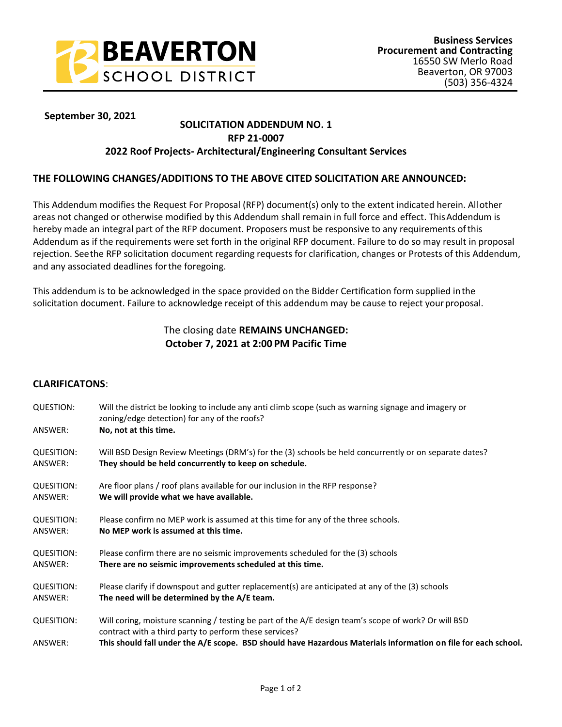

# **September 29, 2021 <sup>30</sup> September 30, 2021**

#### **SOLICITATION ADDENDUM NO. 1 RFP 21-0007**

# **2022 Roof Projects- Architectural/Engineering Consultant Services**

### **THE FOLLOWING CHANGES/ADDITIONS TO THE ABOVE CITED SOLICITATION ARE ANNOUNCED:**

This Addendum modifies the Request For Proposal (RFP) document(s) only to the extent indicated herein. Allother areas not changed or otherwise modified by this Addendum shall remain in full force and effect. ThisAddendum is hereby made an integral part of the RFP document. Proposers must be responsive to any requirements ofthis Addendum as if the requirements were set forth in the original RFP document. Failure to do so may result in proposal rejection. Seethe RFP solicitation document regarding requests for clarification, changes or Protests of this Addendum, and any associated deadlines forthe foregoing.

This addendum is to be acknowledged in the space provided on the Bidder Certification form supplied inthe solicitation document. Failure to acknowledge receipt of this addendum may be cause to reject your proposal.

# The closing date **REMAINS UNCHANGED: October 7, 2021 at 2:00 PM Pacific Time**

## **CLARIFICATONS**:

| <b>QUESTION:</b><br>ANSWER: | Will the district be looking to include any anti climb scope (such as warning signage and imagery or<br>zoning/edge detection) for any of the roofs?<br>No, not at this time. |
|-----------------------------|-------------------------------------------------------------------------------------------------------------------------------------------------------------------------------|
|                             |                                                                                                                                                                               |
| <b>QUESITION:</b>           | Will BSD Design Review Meetings (DRM's) for the (3) schools be held concurrently or on separate dates?                                                                        |
| ANSWER:                     | They should be held concurrently to keep on schedule.                                                                                                                         |
| <b>QUESITION:</b>           | Are floor plans / roof plans available for our inclusion in the RFP response?                                                                                                 |
| ANSWER:                     | We will provide what we have available.                                                                                                                                       |
| <b>QUESITION:</b>           | Please confirm no MEP work is assumed at this time for any of the three schools.                                                                                              |
| ANSWER:                     | No MEP work is assumed at this time.                                                                                                                                          |
| <b>QUESITION:</b>           | Please confirm there are no seismic improvements scheduled for the (3) schools                                                                                                |
| ANSWER:                     | There are no seismic improvements scheduled at this time.                                                                                                                     |
| <b>QUESITION:</b>           | Please clarify if downspout and gutter replacement(s) are anticipated at any of the (3) schools                                                                               |
| ANSWER:                     | The need will be determined by the A/E team.                                                                                                                                  |
| <b>QUESITION:</b>           | Will coring, moisture scanning / testing be part of the A/E design team's scope of work? Or will BSD<br>contract with a third party to perform these services?                |
| ANSWER:                     | This should fall under the A/E scope. BSD should have Hazardous Materials information on file for each school.                                                                |